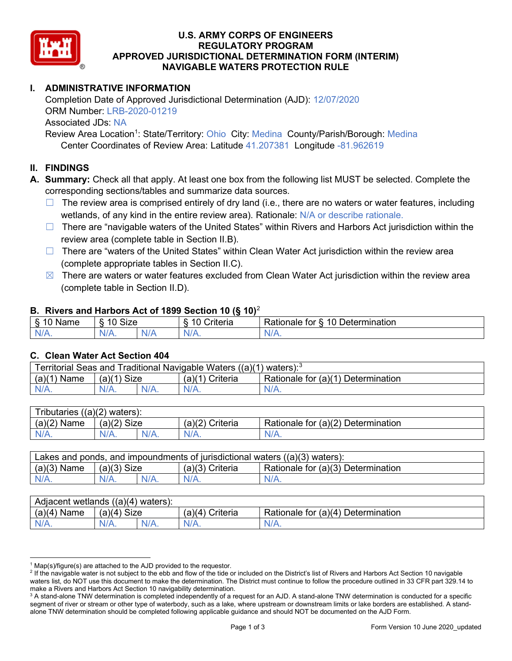

### U.S. ARMY CORPS OF ENGINEERS REGULATORY PROGRAM APPROVED JURISDICTIONAL DETERMINATION FORM (INTERIM) NAVIGABLE WATERS PROTECTION RULE

# ADMINISTRATIVE INFORMATION

Completion Date of Approved Jurisdictional Determination (AJD): 12/07/2020 ORM Number: LRB-2020-01219 Associated JDs: NA Review Area Location<sup>1</sup>: State/Territory: Ohio City: Medina County/Parish/Borough: Medina

Center Coordinates of Review Area: Latitude 41.207381 Longitude -81.962619

### II. FINDINGS

A. Summary: Check all that apply. At least one box from the following list MUST be selected. Complete the corresponding sections/tables and summarize data sources.

- $\Box$  The review area is comprised entirely of dry land (i.e., there are no waters or water features, including wetlands, of any kind in the entire review area). Rationale: N/A or describe rationale.
- $\Box$  There are "navigable waters of the United States" within Rivers and Harbors Act jurisdiction within the review area (complete table in Section II.B).
- $\Box$  There are "waters of the United States" within Clean Water Act jurisdiction within the review area (complete appropriate tables in Section II.C).
- $\boxtimes$  There are waters or water features excluded from Clean Water Act jurisdiction within the review area (complete table in Section II.D).

#### B. Rivers and Harbors Act of 1899 Section 10 (§ 10)<sup>2</sup>

| $\cdot$                        |                                  |              |                      |                                                                        |  |  |
|--------------------------------|----------------------------------|--------------|----------------------|------------------------------------------------------------------------|--|--|
| ∽<br>.<br>ø<br>Na⊓e<br>u<br>٠J | Size<br>$\overline{A}$<br>c<br>. |              | 10<br>`riteria       | ੈ ਾੇ≏rmination <sup>↑</sup><br>$\overline{ }$<br>.<br>ror<br>≺ationaie |  |  |
| $N/A$ .                        | 17 L.                            | 'N/ <i>F</i> | $N/\epsilon$<br>17 L | 11 I N.                                                                |  |  |

#### C. Clean Water Act Section 404

| Territorial Seas and Traditional Navigable Waters $((a)(1)$ waters): <sup>3</sup> |                |  |                        |                                    |  |  |
|-----------------------------------------------------------------------------------|----------------|--|------------------------|------------------------------------|--|--|
| (a)(1)<br>Name                                                                    | Size<br>(a)(1) |  | (a)(1)<br>้ \ Criteria | Rationale for (a)(1) Determination |  |  |
|                                                                                   | $N/A$ .        |  | N/A.                   | $N/A$ .                            |  |  |

| Tributaries $((a)(2)$ waters): |               |         |                    |                                    |  |  |
|--------------------------------|---------------|---------|--------------------|------------------------------------|--|--|
| $(a)(2)$ Name                  | $(a)(2)$ Size |         | (a)(2)<br>Criteria | Rationale for (a)(2) Determination |  |  |
| $N/A$ .                        | $N/A$ .       | $N/A$ . |                    | $N/A$ .                            |  |  |

| Lakes and ponds, and impoundments of jurisdictional waters $((a)(3)$ waters): |               |         |                   |                                    |  |  |
|-------------------------------------------------------------------------------|---------------|---------|-------------------|------------------------------------|--|--|
| $(a)(3)$ Name                                                                 | $(a)(3)$ Size |         | $(a)(3)$ Criteria | Rationale for (a)(3) Determination |  |  |
| $N/A$ .                                                                       |               | $N/A$ . | $N/A$ .           | $N/A$ .                            |  |  |

| Adjacent wetlands<br>$((a)(4)$ waters): |                       |         |                   |                                                |  |  |
|-----------------------------------------|-----------------------|---------|-------------------|------------------------------------------------|--|--|
| (a)(4)<br>Name                          | (a)(4)<br><b>Size</b> |         | (a)(4<br>Criteria | ,∪r (a)(4) Γ<br>Rationale for<br>Determination |  |  |
| N/A.                                    | $N/A$ .               | $N/A$ . | $N/A$ .           | $N/A$ .                                        |  |  |

<sup>&</sup>lt;sup>1</sup> Map(s)/figure(s) are attached to the AJD provided to the requestor.

<sup>&</sup>lt;sup>2</sup> If the navigable water is not subject to the ebb and flow of the tide or included on the District's list of Rivers and Harbors Act Section 10 navigable waters list, do NOT use this document to make the determination. The District must continue to follow the procedure outlined in 33 CFR part 329.14 to make a Rivers and Harbors Act Section 10 navigability determination.

 $^3$  A stand-alone TNW determination is completed independently of a request for an AJD. A stand-alone TNW determination is conducted for a specific segment of river or stream or other type of waterbody, such as a lake, where upstream or downstream limits or lake borders are established. A standalone TNW determination should be completed following applicable guidance and should NOT be documented on the AJD Form.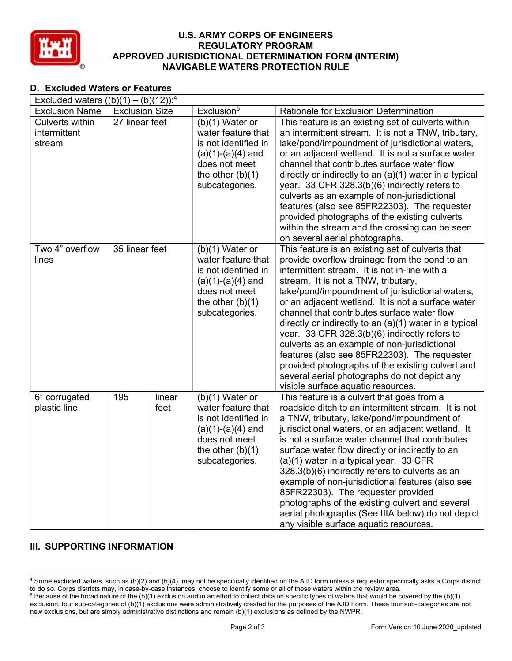

### U.S. ARMY CORPS OF ENGINEERS REGULATORY PROGRAM APPROVED JURISDICTIONAL DETERMINATION FORM (INTERIM) NAVIGABLE WATERS PROTECTION RULE

# D. Excluded Waters or Features

| Excluded waters $((b)(1) - (b)(12))$ : <sup>4</sup> |                       |        |                                      |                                                                                                      |  |  |  |
|-----------------------------------------------------|-----------------------|--------|--------------------------------------|------------------------------------------------------------------------------------------------------|--|--|--|
| <b>Exclusion Name</b>                               | <b>Exclusion Size</b> |        | Exclusion <sup>5</sup>               | Rationale for Exclusion Determination                                                                |  |  |  |
| Culverts within                                     | 27 linear feet        |        | $(b)(1)$ Water or                    | This feature is an existing set of culverts within                                                   |  |  |  |
| intermittent                                        |                       |        | water feature that                   | an intermittent stream. It is not a TNW, tributary,                                                  |  |  |  |
| stream                                              |                       |        | is not identified in                 | lake/pond/impoundment of jurisdictional waters,                                                      |  |  |  |
|                                                     |                       |        | $(a)(1)-(a)(4)$ and                  | or an adjacent wetland. It is not a surface water                                                    |  |  |  |
|                                                     |                       |        | does not meet                        | channel that contributes surface water flow                                                          |  |  |  |
|                                                     |                       |        | the other $(b)(1)$                   | directly or indirectly to an (a)(1) water in a typical                                               |  |  |  |
|                                                     |                       |        | subcategories.                       | year. 33 CFR 328.3(b)(6) indirectly refers to                                                        |  |  |  |
|                                                     |                       |        |                                      | culverts as an example of non-jurisdictional                                                         |  |  |  |
|                                                     |                       |        |                                      | features (also see 85FR22303). The requester                                                         |  |  |  |
|                                                     |                       |        |                                      | provided photographs of the existing culverts                                                        |  |  |  |
|                                                     |                       |        |                                      | within the stream and the crossing can be seen                                                       |  |  |  |
|                                                     |                       |        |                                      | on several aerial photographs.                                                                       |  |  |  |
| Two 4" overflow                                     | 35 linear feet        |        | $(b)(1)$ Water or                    | This feature is an existing set of culverts that                                                     |  |  |  |
| lines                                               |                       |        | water feature that                   | provide overflow drainage from the pond to an                                                        |  |  |  |
|                                                     |                       |        | is not identified in                 | intermittent stream. It is not in-line with a                                                        |  |  |  |
|                                                     |                       |        | $(a)(1)-(a)(4)$ and<br>does not meet | stream. It is not a TNW, tributary,                                                                  |  |  |  |
|                                                     |                       |        | the other $(b)(1)$                   | lake/pond/impoundment of jurisdictional waters,<br>or an adjacent wetland. It is not a surface water |  |  |  |
|                                                     |                       |        | subcategories.                       | channel that contributes surface water flow                                                          |  |  |  |
|                                                     |                       |        |                                      | directly or indirectly to an (a)(1) water in a typical                                               |  |  |  |
|                                                     |                       |        |                                      | year. 33 CFR 328.3(b)(6) indirectly refers to                                                        |  |  |  |
|                                                     |                       |        |                                      | culverts as an example of non-jurisdictional                                                         |  |  |  |
|                                                     |                       |        |                                      | features (also see 85FR22303). The requester                                                         |  |  |  |
|                                                     |                       |        |                                      | provided photographs of the existing culvert and                                                     |  |  |  |
|                                                     |                       |        |                                      | several aerial photographs do not depict any                                                         |  |  |  |
|                                                     |                       |        |                                      | visible surface aquatic resources.                                                                   |  |  |  |
| 6" corrugated                                       | 195                   | linear | $(b)(1)$ Water or                    | This feature is a culvert that goes from a                                                           |  |  |  |
| plastic line                                        |                       | feet   | water feature that                   | roadside ditch to an intermittent stream. It is not                                                  |  |  |  |
|                                                     |                       |        | is not identified in                 | a TNW, tributary, lake/pond/impoundment of                                                           |  |  |  |
|                                                     |                       |        | $(a)(1)-(a)(4)$ and                  | jurisdictional waters, or an adjacent wetland. It                                                    |  |  |  |
|                                                     |                       |        | does not meet                        | is not a surface water channel that contributes                                                      |  |  |  |
|                                                     |                       |        | the other $(b)(1)$                   | surface water flow directly or indirectly to an                                                      |  |  |  |
|                                                     |                       |        | subcategories.                       | (a)(1) water in a typical year. 33 CFR                                                               |  |  |  |
|                                                     |                       |        |                                      | 328.3(b)(6) indirectly refers to culverts as an                                                      |  |  |  |
|                                                     |                       |        |                                      | example of non-jurisdictional features (also see                                                     |  |  |  |
|                                                     |                       |        |                                      | 85FR22303). The requester provided                                                                   |  |  |  |
|                                                     |                       |        |                                      | photographs of the existing culvert and several                                                      |  |  |  |
|                                                     |                       |        |                                      | aerial photographs (See IIIA below) do not depict                                                    |  |  |  |
|                                                     |                       |        |                                      | any visible surface aquatic resources.                                                               |  |  |  |

## **III. SUPPORTING INFORMATION**

<sup>4</sup> Some excluded waters, such as (b)(2) and (b)(4), may not be specifically identified on the AJD form unless a requestor specifically asks a Corps district to do so. Corps districts may, in case-by-case instances, choose to identify some or all of these waters within the review area.

 $^5$  Because of the broad nature of the (b)(1) exclusion and in an effort to collect data on specific types of waters that would be covered by the (b)(1) exclusion, four sub-categories of (b)(1) exclusions were administratively created for the purposes of the AJD Form. These four sub-categories are not new exclusions, but are simply administrative distinctions and remain (b)(1) exclusions as defined by the NWPR.